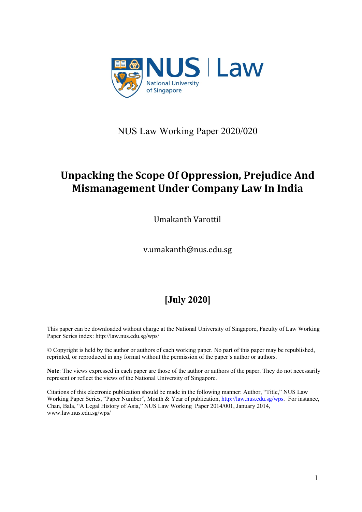

NUS Law Working Paper 2020/020

# **Unpacking the Scope Of Oppression, Prejudice And Mismanagement Under Company Law In India**

Umakanth Varottil

v.umakanth@nus.edu.sg

# **[July 2020]**

This paper can be downloaded without charge at the National University of Singapore, Faculty of Law Working Paper Series index: http://law.nus.edu.sg/wps/

© Copyright is held by the author or authors of each working paper. No part of this paper may be republished, reprinted, or reproduced in any format without the permission of the paper's author or authors.

**Note**: The views expressed in each paper are those of the author or authors of the paper. They do not necessarily represent or reflect the views of the National University of Singapore.

Citations of this electronic publication should be made in the following manner: Author, "Title," NUS Law Working Paper Series, "Paper Number", Month & Year of publication, [http://law.nus.edu.sg/wps.](http://law.nus.edu.sg/wps) For instance, Chan, Bala, "A Legal History of Asia," NUS Law Working Paper 2014/001, January 2014, www.law.nus.edu.sg/wps/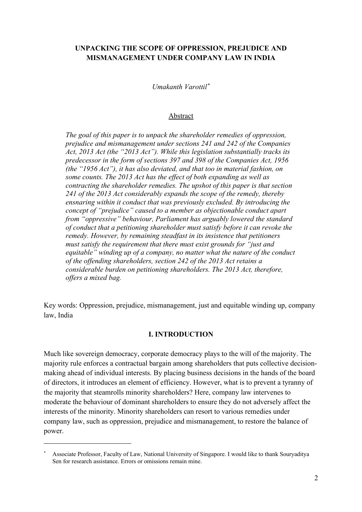# **UNPACKING THE SCOPE OF OPPRESSION, PREJUDICE AND MISMANAGEMENT UNDER COMPANY LAW IN INDIA**

*Umakanth Varottil[\\*](#page-1-0)*

#### Abstract

*The goal of this paper is to unpack the shareholder remedies of oppression, prejudice and mismanagement under sections 241 and 242 of the Companies Act, 2013 Act (the "2013 Act"). While this legislation substantially tracks its predecessor in the form of sections 397 and 398 of the Companies Act, 1956 (the "1956 Act"), it has also deviated, and that too in material fashion, on some counts. The 2013 Act has the effect of both expanding as well as contracting the shareholder remedies. The upshot of this paper is that section 241 of the 2013 Act considerably expands the scope of the remedy, thereby ensnaring within it conduct that was previously excluded. By introducing the concept of "prejudice" caused to a member as objectionable conduct apart from "oppressive" behaviour, Parliament has arguably lowered the standard of conduct that a petitioning shareholder must satisfy before it can revoke the remedy. However, by remaining steadfast in its insistence that petitioners must satisfy the requirement that there must exist grounds for "just and equitable" winding up of a company, no matter what the nature of the conduct of the offending shareholders, section 242 of the 2013 Act retains a considerable burden on petitioning shareholders. The 2013 Act, therefore, offers a mixed bag.*

Key words: Oppression, prejudice, mismanagement, just and equitable winding up, company law, India

### **I. INTRODUCTION**

Much like sovereign democracy, corporate democracy plays to the will of the majority. The majority rule enforces a contractual bargain among shareholders that puts collective decisionmaking ahead of individual interests. By placing business decisions in the hands of the board of directors, it introduces an element of efficiency. However, what is to prevent a tyranny of the majority that steamrolls minority shareholders? Here, company law intervenes to moderate the behaviour of dominant shareholders to ensure they do not adversely affect the interests of the minority. Minority shareholders can resort to various remedies under company law, such as oppression, prejudice and mismanagement, to restore the balance of power.

<span id="page-1-0"></span><sup>\*</sup> Associate Professor, Faculty of Law, National University of Singapore. I would like to thank Souryaditya Sen for research assistance. Errors or omissions remain mine.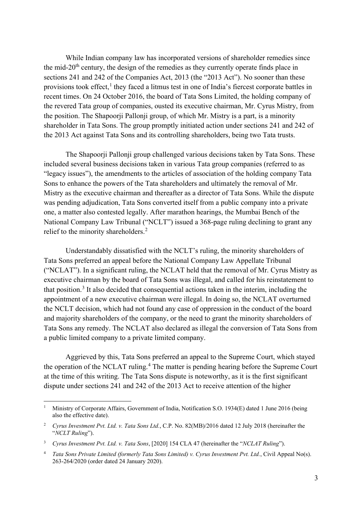While Indian company law has incorporated versions of shareholder remedies since the mid- $20<sup>th</sup>$  century, the design of the remedies as they currently operate finds place in sections 241 and 242 of the Companies Act, 2013 (the "2013 Act"). No sooner than these provisions took effect, $<sup>1</sup>$  $<sup>1</sup>$  $<sup>1</sup>$  they faced a litmus test in one of India's fiercest corporate battles in</sup> recent times. On 24 October 2016, the board of Tata Sons Limited, the holding company of the revered Tata group of companies, ousted its executive chairman, Mr. Cyrus Mistry, from the position. The Shapoorji Pallonji group, of which Mr. Mistry is a part, is a minority shareholder in Tata Sons. The group promptly initiated action under sections 241 and 242 of the 2013 Act against Tata Sons and its controlling shareholders, being two Tata trusts.

The Shapoorji Pallonji group challenged various decisions taken by Tata Sons. These included several business decisions taken in various Tata group companies (referred to as "legacy issues"), the amendments to the articles of association of the holding company Tata Sons to enhance the powers of the Tata shareholders and ultimately the removal of Mr. Mistry as the executive chairman and thereafter as a director of Tata Sons. While the dispute was pending adjudication, Tata Sons converted itself from a public company into a private one, a matter also contested legally. After marathon hearings, the Mumbai Bench of the National Company Law Tribunal ("NCLT") issued a 368-page ruling declining to grant any relief to the minority shareholders.<sup>[2](#page-2-1)</sup>

<span id="page-2-5"></span><span id="page-2-4"></span>Understandably dissatisfied with the NCLT's ruling, the minority shareholders of Tata Sons preferred an appeal before the National Company Law Appellate Tribunal ("NCLAT"). In a significant ruling, the NCLAT held that the removal of Mr. Cyrus Mistry as executive chairman by the board of Tata Sons was illegal, and called for his reinstatement to that position.<sup>[3](#page-2-2)</sup> It also decided that consequential actions taken in the interim, including the appointment of a new executive chairman were illegal. In doing so, the NCLAT overturned the NCLT decision, which had not found any case of oppression in the conduct of the board and majority shareholders of the company, or the need to grant the minority shareholders of Tata Sons any remedy. The NCLAT also declared as illegal the conversion of Tata Sons from a public limited company to a private limited company.

Aggrieved by this, Tata Sons preferred an appeal to the Supreme Court, which stayed the operation of the NCLAT ruling.<sup>[4](#page-2-3)</sup> The matter is pending hearing before the Supreme Court at the time of this writing. The Tata Sons dispute is noteworthy, as it is the first significant dispute under sections 241 and 242 of the 2013 Act to receive attention of the higher

<span id="page-2-0"></span><sup>1</sup> Ministry of Corporate Affairs, Government of India, Notification S.O. 1934(E) dated 1 June 2016 (being also the effective date).

<span id="page-2-1"></span><sup>2</sup> *Cyrus Investment Pvt. Ltd. v. Tata Sons Ltd.*, C.P. No. 82(MB)/2016 dated 12 July 2018 (hereinafter the "*NCLT Ruling*").

<span id="page-2-2"></span><sup>3</sup> *Cyrus Investment Pvt. Ltd. v. Tata Sons*, [2020] 154 CLA 47 (hereinafter the "*NCLAT Ruling*").

<span id="page-2-3"></span><sup>4</sup> *Tata Sons Private Limited (formerly Tata Sons Limited) v. Cyrus Investment Pvt. Ltd.*, Civil Appeal No(s). 263-264/2020 (order dated 24 January 2020).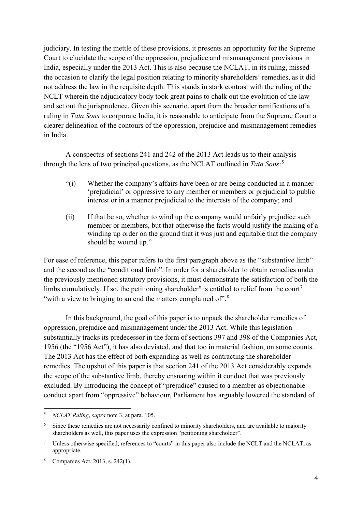judiciary. In testing the mettle of these provisions, it presents an opportunity for the Supreme Court to elucidate the scope of the oppression, prejudice and mismanagement provisions in India, especially under the 2013 Act. This is also because the NCLAT, in its ruling, missed the occasion to clarify the legal position relating to minority shareholders' remedies, as it did not address the law in the requisite depth. This stands in stark contrast with the ruling of the NCLT wherein the adjudicatory body took great pains to chalk out the evolution of the law and set out the jurisprudence. Given this scenario, apart from the broader ramifications of a ruling in *Tata Sons* to corporate India, it is reasonable to anticipate from the Supreme Court a clearer delineation of the contours of the oppression, prejudice and mismanagement remedies in India.

A conspectus of sections 241 and 242 of the 2013 Act leads us to their analysis through the lens of two principal questions, as the NCLAT outlined in *Tata Sons*: [5](#page-3-0)

- "(i) Whether the company's affairs have been or are being conducted in a manner 'prejudicial' or oppressive to any member or members or prejudicial to public interest or in a manner prejudicial to the interests of the company; and
- (ii) If that be so, whether to wind up the company would unfairly prejudice such member or members, but that otherwise the facts would justify the making of a winding up order on the ground that it was just and equitable that the company should be wound up."

For ease of reference, this paper refers to the first paragraph above as the "substantive limb" and the second as the "conditional limb". In order for a shareholder to obtain remedies under the previously mentioned statutory provisions, it must demonstrate the satisfaction of both the limbs cumulatively. If so, the petitioning shareholder<sup>[6](#page-3-1)</sup> is entitled to relief from the court<sup>[7](#page-3-2)</sup> "with a view to bringing to an end the matters complained of".<sup>[8](#page-3-3)</sup>

In this background, the goal of this paper is to unpack the shareholder remedies of oppression, prejudice and mismanagement under the 2013 Act. While this legislation substantially tracks its predecessor in the form of sections 397 and 398 of the Companies Act, 1956 (the "1956 Act"), it has also deviated, and that too in material fashion, on some counts. The 2013 Act has the effect of both expanding as well as contracting the shareholder remedies. The upshot of this paper is that section 241 of the 2013 Act considerably expands the scope of the substantive limb, thereby ensnaring within it conduct that was previously excluded. By introducing the concept of "prejudice" caused to a member as objectionable conduct apart from "oppressive" behaviour, Parliament has arguably lowered the standard of

<span id="page-3-0"></span><sup>5</sup> *NCLAT Ruling*, *supra* note [3,](#page-2-4) at para. 105.

<span id="page-3-1"></span>Since these remedies are not necessarily confined to minority shareholders, and are available to majority shareholders as well, this paper uses the expression "petitioning shareholder".

<span id="page-3-2"></span><sup>7</sup> Unless otherwise specified, references to "courts" in this paper also include the NCLT and the NCLAT, as appropriate.

<span id="page-3-3"></span>Companies Act, 2013, s. 242(1).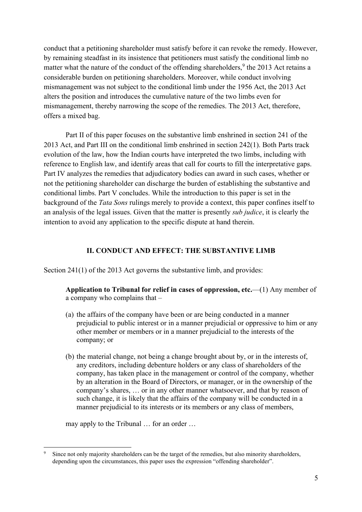conduct that a petitioning shareholder must satisfy before it can revoke the remedy. However, by remaining steadfast in its insistence that petitioners must satisfy the conditional limb no matter what the nature of the conduct of the offending shareholders,  $9$  the 2013 Act retains a considerable burden on petitioning shareholders. Moreover, while conduct involving mismanagement was not subject to the conditional limb under the 1956 Act, the 2013 Act alters the position and introduces the cumulative nature of the two limbs even for mismanagement, thereby narrowing the scope of the remedies. The 2013 Act, therefore, offers a mixed bag.

Part II of this paper focuses on the substantive limb enshrined in section 241 of the 2013 Act, and Part III on the conditional limb enshrined in section 242(1). Both Parts track evolution of the law, how the Indian courts have interpreted the two limbs, including with reference to English law, and identify areas that call for courts to fill the interpretative gaps. Part IV analyzes the remedies that adjudicatory bodies can award in such cases, whether or not the petitioning shareholder can discharge the burden of establishing the substantive and conditional limbs. Part V concludes. While the introduction to this paper is set in the background of the *Tata Sons* rulings merely to provide a context, this paper confines itself to an analysis of the legal issues. Given that the matter is presently *sub judice*, it is clearly the intention to avoid any application to the specific dispute at hand therein.

## **II. CONDUCT AND EFFECT: THE SUBSTANTIVE LIMB**

Section 241(1) of the 2013 Act governs the substantive limb, and provides:

**Application to Tribunal for relief in cases of oppression, etc.**—(1) Any member of a company who complains that –

- (a) the affairs of the company have been or are being conducted in a manner prejudicial to public interest or in a manner prejudicial or oppressive to him or any other member or members or in a manner prejudicial to the interests of the company; or
- (b) the material change, not being a change brought about by, or in the interests of, any creditors, including debenture holders or any class of shareholders of the company, has taken place in the management or control of the company, whether by an alteration in the Board of Directors, or manager, or in the ownership of the company's shares, … or in any other manner whatsoever, and that by reason of such change, it is likely that the affairs of the company will be conducted in a manner prejudicial to its interests or its members or any class of members,

may apply to the Tribunal … for an order …

<span id="page-4-0"></span>Since not only majority shareholders can be the target of the remedies, but also minority shareholders, depending upon the circumstances, this paper uses the expression "offending shareholder".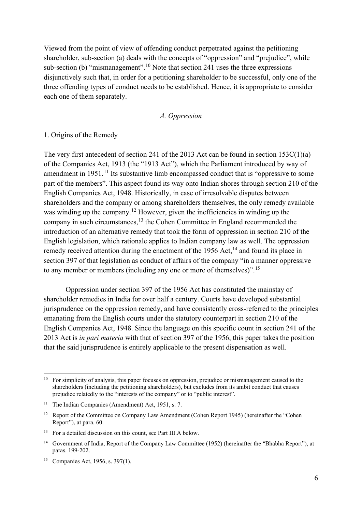Viewed from the point of view of offending conduct perpetrated against the petitioning shareholder, sub-section (a) deals with the concepts of "oppression" and "prejudice", while sub-section (b) "mismanagement".<sup>[10](#page-5-0)</sup> Note that section 241 uses the three expressions disjunctively such that, in order for a petitioning shareholder to be successful, only one of the three offending types of conduct needs to be established. Hence, it is appropriate to consider each one of them separately.

#### <span id="page-5-8"></span><span id="page-5-7"></span><span id="page-5-6"></span>*A. Oppression*

#### 1. Origins of the Remedy

The very first antecedent of section 241 of the 2013 Act can be found in section 153C(1)(a) of the Companies Act, 1913 (the "1913 Act"), which the Parliament introduced by way of amendment in 1951.<sup>[11](#page-5-1)</sup> Its substantive limb encompassed conduct that is "oppressive to some part of the members". This aspect found its way onto Indian shores through section 210 of the English Companies Act, 1948. Historically, in case of irresolvable disputes between shareholders and the company or among shareholders themselves, the only remedy available was winding up the company.<sup>[12](#page-5-2)</sup> However, given the inefficiencies in winding up the company in such circumstances,[13](#page-5-3) the Cohen Committee in England recommended the introduction of an alternative remedy that took the form of oppression in section 210 of the English legislation, which rationale applies to Indian company law as well. The oppression remedy received attention during the enactment of the  $1956$  Act,  $14$  and found its place in section 397 of that legislation as conduct of affairs of the company "in a manner oppressive to any member or members (including any one or more of themselves)".[15](#page-5-5)

Oppression under section 397 of the 1956 Act has constituted the mainstay of shareholder remedies in India for over half a century. Courts have developed substantial jurisprudence on the oppression remedy, and have consistently cross-referred to the principles emanating from the English courts under the statutory counterpart in section 210 of the English Companies Act, 1948. Since the language on this specific count in section 241 of the 2013 Act is *in pari materia* with that of section 397 of the 1956, this paper takes the position that the said jurisprudence is entirely applicable to the present dispensation as well.

<span id="page-5-0"></span><sup>&</sup>lt;sup>10</sup> For simplicity of analysis, this paper focuses on oppression, prejudice or mismanagement caused to the shareholders (including the petitioning shareholders), but excludes from its ambit conduct that causes prejudice relatedly to the "interests of the company" or to "public interest".

<span id="page-5-1"></span><sup>&</sup>lt;sup>11</sup> The Indian Companies (Amendment) Act, 1951, s. 7.

<span id="page-5-2"></span><sup>&</sup>lt;sup>12</sup> Report of the Committee on Company Law Amendment (Cohen Report 1945) (hereinafter the "Cohen Report"), at para. 60.

<span id="page-5-3"></span><sup>&</sup>lt;sup>13</sup> For a detailed discussion on this count, see Part III.A below.

<span id="page-5-4"></span><sup>&</sup>lt;sup>14</sup> Government of India, Report of the Company Law Committee (1952) (hereinafter the "Bhabha Report"), at paras. 199-202.

<span id="page-5-5"></span><sup>15</sup> Companies Act, 1956, s. 397(1).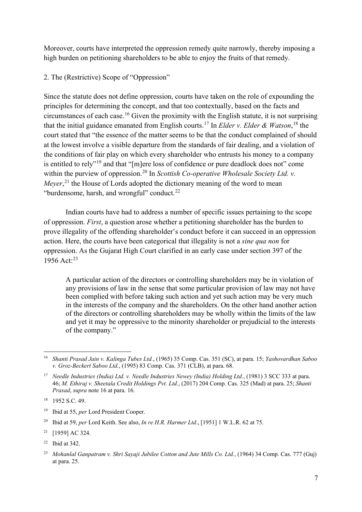Moreover, courts have interpreted the oppression remedy quite narrowly, thereby imposing a high burden on petitioning shareholders to be able to enjoy the fruits of that remedy.

2. The (Restrictive) Scope of "Oppression"

<span id="page-6-12"></span><span id="page-6-9"></span><span id="page-6-0"></span>Since the statute does not define oppression, courts have taken on the role of expounding the principles for determining the concept, and that too contextually, based on the facts and circumstances of each case. [16](#page-6-1) Given the proximity with the English statute, it is not surprising that the initial guidance emanated from English courts.[17](#page-6-2) In *Elder v. Elder & Watson*, [18](#page-6-3) the court stated that "the essence of the matter seems to be that the conduct complained of should at the lowest involve a visible departure from the standards of fair dealing, and a violation of the conditions of fair play on which every shareholder who entrusts his money to a company is entitled to rely"[19](#page-6-4) and that "[m]ere loss of confidence or pure deadlock does not" come within the purview of oppression.<sup>[20](#page-6-5)</sup> In *Scottish Co-operative Wholesale Society Ltd. v. Meyer*<sup>[21](#page-6-6)</sup>, the House of Lords adopted the dictionary meaning of the word to mean "burdensome, harsh, and wrongful" conduct. $22$ 

<span id="page-6-10"></span>Indian courts have had to address a number of specific issues pertaining to the scope of oppression. *First*, a question arose whether a petitioning shareholder has the burden to prove illegality of the offending shareholder's conduct before it can succeed in an oppression action. Here, the courts have been categorical that illegality is not a *sine qua non* for oppression. As the Gujarat High Court clarified in an early case under section 397 of the 1956 Act:[23](#page-6-8)

<span id="page-6-11"></span>A particular action of the directors or controlling shareholders may be in violation of any provisions of law in the sense that some particular provision of law may not have been complied with before taking such action and yet such action may be very much in the interests of the company and the shareholders. On the other hand another action of the directors or controlling shareholders may be wholly within the limits of the law and yet it may be oppressive to the minority shareholder or prejudicial to the interests of the company."

<span id="page-6-1"></span><sup>16</sup> *Shanti Prasad Jain v. Kalinga Tubes Ltd.*, (1965) 35 Comp. Cas. 351 (SC), at para. 15; *Yashovardhan Saboo v. Groz-Beckert Saboo Ltd.*, (1995) 83 Comp. Cas. 371 (CLB), at para. 68.

<span id="page-6-2"></span><sup>17</sup> *Needle Industries (India) Ltd. v. Needle Industries Newey (India) Holding Ltd.*, (1981) 3 SCC 333 at para. 46; *M. Ethiraj v. Sheetala Credit Holdings Pvt. Ltd.*, (2017) 204 Comp. Cas. 325 (Mad) at para. 25; *Shanti Prasad*, *supra* note [16](#page-6-0) at para. 16.

<span id="page-6-3"></span><sup>18</sup> 1952 S.C. 49.

<span id="page-6-4"></span><sup>19</sup> Ibid at 55, *per* Lord President Cooper.

<span id="page-6-5"></span><sup>20</sup> Ibid at 59, *per* Lord Keith. See also, *In re H.R. Harmer Ltd.*, [1951] 1 W.L.R. 62 at 75.

<span id="page-6-6"></span><sup>21</sup> [1959] AC 324.

<span id="page-6-7"></span><sup>22</sup> Ibid at 342.

<span id="page-6-8"></span><sup>23</sup> *Mohanlal Ganpatram v. Shri Sayaji Jubilee Cotton and Jute Mills Co. Ltd.*, (1964) 34 Comp. Cas. 777 (Guj) at para. 25.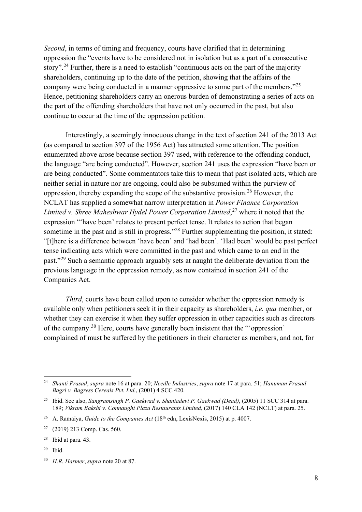<span id="page-7-9"></span><span id="page-7-7"></span>*Second*, in terms of timing and frequency, courts have clarified that in determining oppression the "events have to be considered not in isolation but as a part of a consecutive story".<sup>[24](#page-7-0)</sup> Further, there is a need to establish "continuous acts on the part of the majority shareholders, continuing up to the date of the petition, showing that the affairs of the company were being conducted in a manner oppressive to some part of the members."[25](#page-7-1) Hence, petitioning shareholders carry an onerous burden of demonstrating a series of acts on the part of the offending shareholders that have not only occurred in the past, but also continue to occur at the time of the oppression petition.

<span id="page-7-8"></span>Interestingly, a seemingly innocuous change in the text of section 241 of the 2013 Act (as compared to section 397 of the 1956 Act) has attracted some attention. The position enumerated above arose because section 397 used, with reference to the offending conduct, the language "are being conducted". However, section 241 uses the expression "have been or are being conducted". Some commentators take this to mean that past isolated acts, which are neither serial in nature nor are ongoing, could also be subsumed within the purview of oppression, thereby expanding the scope of the substantive provision.[26](#page-7-2) However, the NCLAT has supplied a somewhat narrow interpretation in *Power Finance Corporation Limited v. Shree Maheshwar Hydel Power Corporation Limited*, [27](#page-7-3) where it noted that the expression "'have been' relates to present perfect tense. It relates to action that began sometime in the past and is still in progress."<sup>[28](#page-7-4)</sup> Further supplementing the position, it stated: "[t]here is a difference between 'have been' and 'had been'. 'Had been' would be past perfect tense indicating acts which were committed in the past and which came to an end in the past."[29](#page-7-5) Such a semantic approach arguably sets at naught the deliberate deviation from the previous language in the oppression remedy, as now contained in section 241 of the Companies Act.

*Third*, courts have been called upon to consider whether the oppression remedy is available only when petitioners seek it in their capacity as shareholders, *i.e. qua* member, or whether they can exercise it when they suffer oppression in other capacities such as directors of the company.[30](#page-7-6) Here, courts have generally been insistent that the "'oppression' complained of must be suffered by the petitioners in their character as members, and not, for

<span id="page-7-5"></span><sup>29</sup> Ibid.

<span id="page-7-0"></span><sup>24</sup> *Shanti Prasad*, *supra* note [16](#page-6-0) at para. 20; *Needle Industries*, *supra* note [17](#page-6-9) at para. 51; *Hanuman Prasad Bagri v. Bagress Cereals Pvt. Ltd.*, (2001) 4 SCC 420.

<span id="page-7-1"></span><sup>25</sup> Ibid. See also, *Sangramsingh P. Gaekwad v. Shantadevi P. Gaekwad (Dead)*, (2005) 11 SCC 314 at para. 189; *Vikram Bakshi v. Connaught Plaza Restaurants Limited*, (2017) 140 CLA 142 (NCLT) at para. 25.

<span id="page-7-2"></span><sup>&</sup>lt;sup>26</sup> A. Ramaiya, *Guide to the Companies Act* (18<sup>th</sup> edn, LexisNexis, 2015) at p. 4007.

<span id="page-7-3"></span><sup>27</sup> (2019) 213 Comp. Cas. 560.

<span id="page-7-4"></span><sup>28</sup> Ibid at para. 43.

<span id="page-7-6"></span><sup>30</sup> *H.R. Harmer*, *supra* not[e 20](#page-6-10) at 87.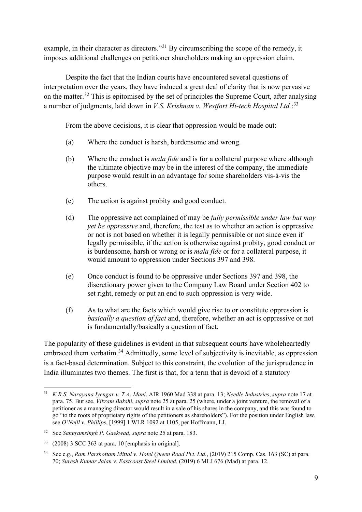<span id="page-8-5"></span>example, in their character as directors."<sup>[31](#page-8-0)</sup> By circumscribing the scope of the remedy, it imposes additional challenges on petitioner shareholders making an oppression claim.

Despite the fact that the Indian courts have encountered several questions of interpretation over the years, they have induced a great deal of clarity that is now pervasive on the matter.<sup>[32](#page-8-1)</sup> This is epitomised by the set of principles the Supreme Court, after analysing a number of judgments, laid down in *V.S. Krishnan v. Westfort Hi-tech Hospital Ltd.*: [33](#page-8-2)

<span id="page-8-4"></span>From the above decisions, it is clear that oppression would be made out:

- (a) Where the conduct is harsh, burdensome and wrong.
- (b) Where the conduct is *mala fide* and is for a collateral purpose where although the ultimate objective may be in the interest of the company, the immediate purpose would result in an advantage for some shareholders vis-à-vis the others.
- (c) The action is against probity and good conduct.
- (d) The oppressive act complained of may be *fully permissible under law but may yet be oppressive* and, therefore, the test as to whether an action is oppressive or not is not based on whether it is legally permissible or not since even if legally permissible, if the action is otherwise against probity, good conduct or is burdensome, harsh or wrong or is *mala fide* or for a collateral purpose, it would amount to oppression under Sections 397 and 398.
- (e) Once conduct is found to be oppressive under Sections 397 and 398, the discretionary power given to the Company Law Board under Section 402 to set right, remedy or put an end to such oppression is very wide.
- (f) As to what are the facts which would give rise to or constitute oppression is *basically a question of fact* and, therefore, whether an act is oppressive or not is fundamentally/basically a question of fact.

The popularity of these guidelines is evident in that subsequent courts have wholeheartedly embraced them verbatim.<sup>[34](#page-8-3)</sup> Admittedly, some level of subjectivity is inevitable, as oppression is a fact-based determination. Subject to this constraint, the evolution of the jurisprudence in India illuminates two themes. The first is that, for a term that is devoid of a statutory

<span id="page-8-0"></span><sup>31</sup> *K.R.S. Narayana Iyengar v. T.A. Mani*, AIR 1960 Mad 338 at para. 13; *Needle Industries*, *supra* note [17](#page-6-9) at para. 75. But see, *Vikram Bakshi*, *supra* note [25](#page-7-7) at para. 25 (where, under a joint venture, the removal of a petitioner as a managing director would result in a sale of his shares in the company, and this was found to go "to the roots of proprietary rights of the petitioners as shareholders"). For the position under English law, see *O'Neill v. Phillips*, [1999] 1 WLR 1092 at 1105, per Hoffmann, LJ.

<span id="page-8-1"></span><sup>32</sup> See *Sangramsingh P. Gaekwad*, *supra* note [25](#page-7-7) at para. 183.

<span id="page-8-2"></span><sup>33</sup> (2008) 3 SCC 363 at para. 10 [emphasis in original].

<span id="page-8-3"></span><sup>34</sup> See e.g., *Ram Parshottam Mittal v. Hotel Queen Road Pvt. Ltd.*, (2019) 215 Comp. Cas. 163 (SC) at para. 70; *Suresh Kumar Jalan v. Eastcoast Steel Limited*, (2019) 6 MLJ 676 (Mad) at para. 12.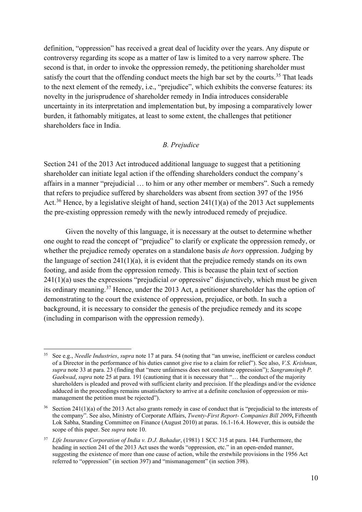definition, "oppression" has received a great deal of lucidity over the years. Any dispute or controversy regarding its scope as a matter of law is limited to a very narrow sphere. The second is that, in order to invoke the oppression remedy, the petitioning shareholder must satisfy the court that the offending conduct meets the high bar set by the courts.<sup>[35](#page-9-0)</sup> That leads to the next element of the remedy, i.e., "prejudice", which exhibits the converse features: its novelty in the jurisprudence of shareholder remedy in India introduces considerable uncertainty in its interpretation and implementation but, by imposing a comparatively lower burden, it fathomably mitigates, at least to some extent, the challenges that petitioner shareholders face in India.

### *B. Prejudice*

Section 241 of the 2013 Act introduced additional language to suggest that a petitioning shareholder can initiate legal action if the offending shareholders conduct the company's affairs in a manner "prejudicial … to him or any other member or members". Such a remedy that refers to prejudice suffered by shareholders was absent from section 397 of the 1956 Act.<sup>[36](#page-9-1)</sup> Hence, by a legislative sleight of hand, section  $241(1)(a)$  of the 2013 Act supplements the pre-existing oppression remedy with the newly introduced remedy of prejudice.

<span id="page-9-3"></span>Given the novelty of this language, it is necessary at the outset to determine whether one ought to read the concept of "prejudice" to clarify or explicate the oppression remedy, or whether the prejudice remedy operates on a standalone basis *de hors* oppression. Judging by the language of section  $241(1)(a)$ , it is evident that the prejudice remedy stands on its own footing, and aside from the oppression remedy. This is because the plain text of section 241(1)(a) uses the expressions "prejudicial *or* oppressive" disjunctively, which must be given its ordinary meaning.<sup>[37](#page-9-2)</sup> Hence, under the 2013 Act, a petitioner shareholder has the option of demonstrating to the court the existence of oppression, prejudice, or both. In such a background, it is necessary to consider the genesis of the prejudice remedy and its scope (including in comparison with the oppression remedy).

<span id="page-9-0"></span><sup>35</sup> See e.g., *Needle Industries*, *supra* note [17](#page-6-9) at para. 54 (noting that "an unwise, inefficient or careless conduct of a Director in the performance of his duties cannot give rise to a claim for relief"). See also, *V.S. Krishnan*, *supra* note [33](#page-8-4) at para. 23 (finding that "mere unfairness does not constitute oppression"); *Sangramsingh P. Gaekwad, supra* note [25](#page-7-7) at para. 191 (cautioning that it is necessary that "... the conduct of the majority shareholders is pleaded and proved with sufficient clarity and precision. If the pleadings and/or the evidence adduced in the proceedings remains unsatisfactory to arrive at a definite conclusion of oppression or mismanagement the petition must be rejected").

<span id="page-9-1"></span>Section 241(1)(a) of the 2013 Act also grants remedy in case of conduct that is "prejudicial to the interests of the company". See also, Ministry of Corporate Affairs, *Twenty-First Report- Companies Bill 2009***,** Fifteenth Lok Sabha, Standing Committee on Finance (August 2010) at paras. 16.1-16.4. However, this is outside the scope of this paper. See *supra* note [10.](#page-5-6)

<span id="page-9-2"></span><sup>37</sup> *Life Insurance Corporation of India v. D.J. Bahadur*, (1981) 1 SCC 315 at para. 144. Furthermore, the heading in section 241 of the 2013 Act uses the words "oppression, etc." in an open-ended manner, suggesting the existence of more than one cause of action, while the erstwhile provisions in the 1956 Act referred to "oppression" (in section 397) and "mismanagement" (in section 398).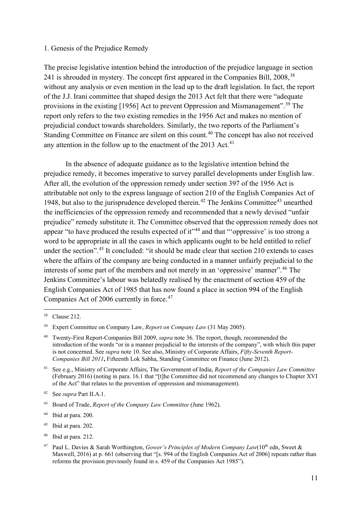#### 1. Genesis of the Prejudice Remedy

<span id="page-10-12"></span>The precise legislative intention behind the introduction of the prejudice language in section 241 is shrouded in mystery. The concept first appeared in the Companies Bill, 2008,<sup>[38](#page-10-0)</sup> without any analysis or even mention in the lead up to the draft legislation. In fact, the report of the J.J. Irani committee that shaped design the 2013 Act felt that there were "adequate provisions in the existing [1956] Act to prevent Oppression and Mismanagement".[39](#page-10-1) The report only refers to the two existing remedies in the 1956 Act and makes no mention of prejudicial conduct towards shareholders. Similarly, the two reports of the Parliament's Standing Committee on Finance are silent on this count. [40](#page-10-2) The concept has also not received any attention in the follow up to the enactment of the  $2013$  Act.<sup>[41](#page-10-3)</sup>

<span id="page-10-11"></span>In the absence of adequate guidance as to the legislative intention behind the prejudice remedy, it becomes imperative to survey parallel developments under English law. After all, the evolution of the oppression remedy under section 397 of the 1956 Act is attributable not only to the express language of section 210 of the English Companies Act of 1948, but also to the jurisprudence developed therein.<sup>[42](#page-10-4)</sup> The Jenkins Committee<sup>[43](#page-10-5)</sup> unearthed the inefficiencies of the oppression remedy and recommended that a newly devised "unfair prejudice" remedy substitute it. The Committee observed that the oppression remedy does not appear "to have produced the results expected of it"<sup>[44](#page-10-6)</sup> and that ""oppressive' is too strong a word to be appropriate in all the cases in which applicants ought to be held entitled to relief under the section".<sup>[45](#page-10-7)</sup> It concluded: "it should be made clear that section 210 extends to cases where the affairs of the company are being conducted in a manner unfairly prejudicial to the interests of some part of the members and not merely in an 'oppressive' manner".[46](#page-10-8) The Jenkins Committee's labour was belatedly realised by the enactment of section 459 of the English Companies Act of 1985 that has now found a place in section 994 of the English Companies Act of 2006 currently in force.<sup>[47](#page-10-9)</sup>

- <span id="page-10-7"></span><sup>45</sup> Ibid at para. 202.
- <span id="page-10-8"></span><sup>46</sup> Ibid at para. 212.

<span id="page-10-10"></span><span id="page-10-0"></span><sup>38</sup> Clause 212.

<span id="page-10-1"></span><sup>39</sup> Expert Committee on Company Law, *Report on Company Law* (31 May 2005).

<span id="page-10-2"></span><sup>40</sup> Twenty-First Report-Companies Bill 2009, *supra* not[e 36.](#page-9-3) The report, though, recommended the introduction of the words "or in a manner prejudicial to the interests of the company", with which this paper is not concerned. See *supra* not[e 10.](#page-5-6) See also, Ministry of Corporate Affairs, *Fifty-Seventh Report-Companies Bill 2011***,** Fifteenth Lok Sabha, Standing Committee on Finance (June 2012).

<span id="page-10-3"></span><sup>41</sup> See e.g., Ministry of Corporate Affairs, The Government of India, *Report of the Companies Law Committee*  (February 2016) (noting in para. 16.1 that "[t]he Committee did not recommend any changes to Chapter XVI of the Act" that relates to the prevention of oppression and mismanagement).

<span id="page-10-4"></span><sup>42</sup> See *supra* Part II.A.1.

<span id="page-10-5"></span><sup>43</sup> Board of Trade, *Report of the Company Law Committee* (June 1962).

<span id="page-10-6"></span><sup>44</sup> Ibid at para. 200.

<span id="page-10-9"></span><sup>&</sup>lt;sup>47</sup> Paul L. Davies & Sarah Worthington, *Gower's Principles of Modern Company Law*(10<sup>th</sup> edn, Sweet & Maxwell, 2016) at p. 661 (observing that "[s. 994 of the English Companies Act of 2006] repeats rather than reforms the provision previously found in s. 459 of the Companies Act 1985").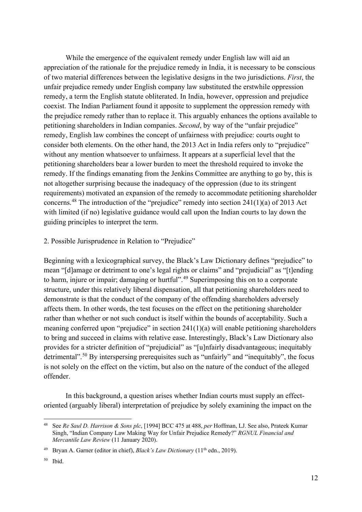While the emergence of the equivalent remedy under English law will aid an appreciation of the rationale for the prejudice remedy in India, it is necessary to be conscious of two material differences between the legislative designs in the two jurisdictions. *First*, the unfair prejudice remedy under English company law substituted the erstwhile oppression remedy, a term the English statute obliterated. In India, however, oppression and prejudice coexist. The Indian Parliament found it apposite to supplement the oppression remedy with the prejudice remedy rather than to replace it. This arguably enhances the options available to petitioning shareholders in Indian companies. *Second*, by way of the "unfair prejudice" remedy, English law combines the concept of unfairness with prejudice: courts ought to consider both elements. On the other hand, the 2013 Act in India refers only to "prejudice" without any mention whatsoever to unfairness. It appears at a superficial level that the petitioning shareholders bear a lower burden to meet the threshold required to invoke the remedy. If the findings emanating from the Jenkins Committee are anything to go by, this is not altogether surprising because the inadequacy of the oppression (due to its stringent requirements) motivated an expansion of the remedy to accommodate petitioning shareholder concerns.[48](#page-11-0) The introduction of the "prejudice" remedy into section 241(1)(a) of 2013 Act with limited (if no) legislative guidance would call upon the Indian courts to lay down the guiding principles to interpret the term.

### <span id="page-11-3"></span>2. Possible Jurisprudence in Relation to "Prejudice"

<span id="page-11-5"></span>Beginning with a lexicographical survey, the Black's Law Dictionary defines "prejudice" to mean "[d]amage or detriment to one's legal rights or claims" and "prejudicial" as "[t]ending to harm, injure or impair; damaging or hurtful".<sup>[49](#page-11-1)</sup> Superimposing this on to a corporate structure, under this relatively liberal dispensation, all that petitioning shareholders need to demonstrate is that the conduct of the company of the offending shareholders adversely affects them. In other words, the test focuses on the effect on the petitioning shareholder rather than whether or not such conduct is itself within the bounds of acceptability. Such a meaning conferred upon "prejudice" in section 241(1)(a) will enable petitioning shareholders to bring and succeed in claims with relative ease. Interestingly, Black's Law Dictionary also provides for a stricter definition of "prejudicial" as "[u]nfairly disadvantageous; inequitably detrimental".<sup>[50](#page-11-2)</sup> By interspersing prerequisites such as "unfairly" and "inequitably", the focus is not solely on the effect on the victim, but also on the nature of the conduct of the alleged offender.

<span id="page-11-4"></span>In this background, a question arises whether Indian courts must supply an effectoriented (arguably liberal) interpretation of prejudice by solely examining the impact on the

<span id="page-11-0"></span><sup>48</sup> See *Re Saul D. Harrison & Sons plc*, [1994] BCC 475 at 488, *per* Hoffman, LJ. See also, Prateek Kumar Singh, "Indian Company Law Making Way for Unfair Prejudice Remedy?" *RGNUL Financial and Mercantile Law Review* (11 January 2020).

<span id="page-11-1"></span><sup>&</sup>lt;sup>49</sup> Brvan A. Garner (editor in chief), *Black's Law Dictionary* (11<sup>th</sup> edn., 2019).

<span id="page-11-2"></span><sup>50</sup> Ibid.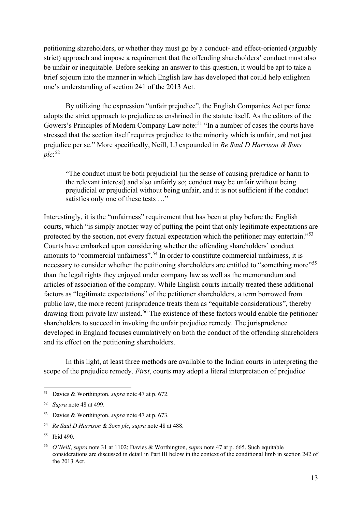petitioning shareholders, or whether they must go by a conduct- and effect-oriented (arguably strict) approach and impose a requirement that the offending shareholders' conduct must also be unfair or inequitable. Before seeking an answer to this question, it would be apt to take a brief sojourn into the manner in which English law has developed that could help enlighten one's understanding of section 241 of the 2013 Act.

By utilizing the expression "unfair prejudice", the English Companies Act per force adopts the strict approach to prejudice as enshrined in the statute itself. As the editors of the Gowers's Principles of Modern Company Law note:<sup>[51](#page-12-0)</sup> "In a number of cases the courts have stressed that the section itself requires prejudice to the minority which is unfair, and not just prejudice per se." More specifically, Neill, LJ expounded in *Re Saul D Harrison & Sons plc*: [52](#page-12-1)

"The conduct must be both prejudicial (in the sense of causing prejudice or harm to the relevant interest) and also unfairly so; conduct may be unfair without being prejudicial or prejudicial without being unfair, and it is not sufficient if the conduct satisfies only one of these tests …"

Interestingly, it is the "unfairness" requirement that has been at play before the English courts, which "is simply another way of putting the point that only legitimate expectations are protected by the section, not every factual expectation which the petitioner may entertain."[53](#page-12-2) Courts have embarked upon considering whether the offending shareholders' conduct amounts to "commercial unfairness".<sup>[54](#page-12-3)</sup> In order to constitute commercial unfairness, it is necessary to consider whether the petitioning shareholders are entitled to "something more"<sup>[55](#page-12-4)</sup> than the legal rights they enjoyed under company law as well as the memorandum and articles of association of the company. While English courts initially treated these additional factors as "legitimate expectations" of the petitioner shareholders, a term borrowed from public law, the more recent jurisprudence treats them as "equitable considerations", thereby drawing from private law instead. [56](#page-12-5) The existence of these factors would enable the petitioner shareholders to succeed in invoking the unfair prejudice remedy. The jurisprudence developed in England focuses cumulatively on both the conduct of the offending shareholders and its effect on the petitioning shareholders.

In this light, at least three methods are available to the Indian courts in interpreting the scope of the prejudice remedy. *First*, courts may adopt a literal interpretation of prejudice

<span id="page-12-0"></span><sup>51</sup> Davies & Worthington, *supra* note [47](#page-10-10) at p. 672.

<span id="page-12-1"></span><sup>52</sup> *Supra* note [48](#page-11-3) at 499.

<span id="page-12-2"></span><sup>53</sup> Davies & Worthington, *supra* note [47](#page-10-10) at p. 673.

<span id="page-12-3"></span><sup>54</sup> *Re Saul D Harrison & Sons plc*, *supra* note [48](#page-11-3) at 488.

<span id="page-12-4"></span><sup>55</sup> Ibid 490.

<span id="page-12-5"></span><sup>56</sup> *O'Neill*, *supra* note [31](#page-8-5) at 1102; Davies & Worthington, *supra* note [47](#page-10-10) at p. 665. Such equitable considerations are discussed in detail in Part III below in the context of the conditional limb in section 242 of the 2013 Act.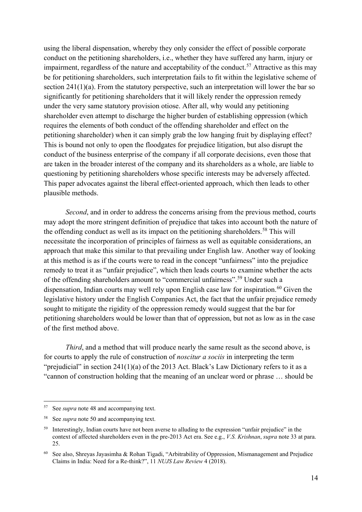using the liberal dispensation, whereby they only consider the effect of possible corporate conduct on the petitioning shareholders, i.e., whether they have suffered any harm, injury or impairment, regardless of the nature and acceptability of the conduct.<sup>[57](#page-13-0)</sup> Attractive as this may be for petitioning shareholders, such interpretation fails to fit within the legislative scheme of section 241(1)(a). From the statutory perspective, such an interpretation will lower the bar so significantly for petitioning shareholders that it will likely render the oppression remedy under the very same statutory provision otiose. After all, why would any petitioning shareholder even attempt to discharge the higher burden of establishing oppression (which requires the elements of both conduct of the offending shareholder and effect on the petitioning shareholder) when it can simply grab the low hanging fruit by displaying effect? This is bound not only to open the floodgates for prejudice litigation, but also disrupt the conduct of the business enterprise of the company if all corporate decisions, even those that are taken in the broader interest of the company and its shareholders as a whole, are liable to questioning by petitioning shareholders whose specific interests may be adversely affected. This paper advocates against the liberal effect-oriented approach, which then leads to other plausible methods.

*Second*, and in order to address the concerns arising from the previous method, courts may adopt the more stringent definition of prejudice that takes into account both the nature of the offending conduct as well as its impact on the petitioning shareholders.<sup>[58](#page-13-1)</sup> This will necessitate the incorporation of principles of fairness as well as equitable considerations, an approach that make this similar to that prevailing under English law. Another way of looking at this method is as if the courts were to read in the concept "unfairness" into the prejudice remedy to treat it as "unfair prejudice", which then leads courts to examine whether the acts of the offending shareholders amount to "commercial unfairness".<sup>[59](#page-13-2)</sup> Under such a dispensation, Indian courts may well rely upon English case law for inspiration.<sup>[60](#page-13-3)</sup> Given the legislative history under the English Companies Act, the fact that the unfair prejudice remedy sought to mitigate the rigidity of the oppression remedy would suggest that the bar for petitioning shareholders would be lower than that of oppression, but not as low as in the case of the first method above.

<span id="page-13-4"></span>*Third*, and a method that will produce nearly the same result as the second above, is for courts to apply the rule of construction of *noscitur a sociis* in interpreting the term "prejudicial" in section 241(1)(a) of the 2013 Act. Black's Law Dictionary refers to it as a "cannon of construction holding that the meaning of an unclear word or phrase … should be

<span id="page-13-0"></span>See *supra* note 48 and accompanying text.

<span id="page-13-1"></span><sup>58</sup> See *supra* note [50](#page-11-4) and accompanying text.

<span id="page-13-2"></span><sup>&</sup>lt;sup>59</sup> Interestingly, Indian courts have not been averse to alluding to the expression "unfair prejudice" in the context of affected shareholders even in the pre-2013 Act era. See e.g., *V.S. Krishnan*, *supra* note [33](#page-8-4) at para. 25.

<span id="page-13-3"></span><sup>60</sup> See also, Shreyas Jayasimha & Rohan Tigadi, "Arbitrability of Oppression, Mismanagement and Prejudice Claims in India: Need for a Re-think?", 11 *NUJS Law Review* 4 (2018).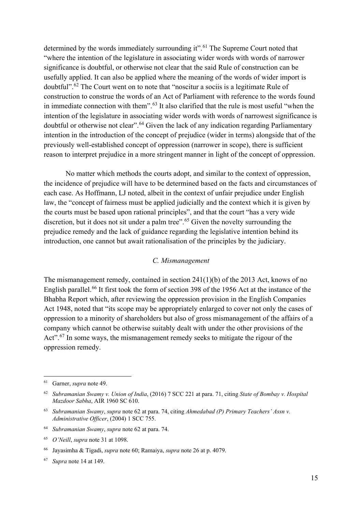<span id="page-14-0"></span>determined by the words immediately surrounding it".<sup>[61](#page-14-1)</sup> The Supreme Court noted that "where the intention of the legislature in associating wider words with words of narrower significance is doubtful, or otherwise not clear that the said Rule of construction can be usefully applied. It can also be applied where the meaning of the words of wider import is doubtful".[62](#page-14-2) The Court went on to note that "noscitur a sociis is a legitimate Rule of construction to construe the words of an Act of Parliament with reference to the words found in immediate connection with them".[63](#page-14-3) It also clarified that the rule is most useful "when the intention of the legislature in associating wider words with words of narrowest significance is doubtful or otherwise not clear".[64](#page-14-4) Given the lack of any indication regarding Parliamentary intention in the introduction of the concept of prejudice (wider in terms) alongside that of the previously well-established concept of oppression (narrower in scope), there is sufficient reason to interpret prejudice in a more stringent manner in light of the concept of oppression.

No matter which methods the courts adopt, and similar to the context of oppression, the incidence of prejudice will have to be determined based on the facts and circumstances of each case. As Hoffmann, LJ noted, albeit in the context of unfair prejudice under English law, the "concept of fairness must be applied judicially and the context which it is given by the courts must be based upon rational principles", and that the court "has a very wide discretion, but it does not sit under a palm tree".<sup>[65](#page-14-5)</sup> Given the novelty surrounding the prejudice remedy and the lack of guidance regarding the legislative intention behind its introduction, one cannot but await rationalisation of the principles by the judiciary.

#### *C. Mismanagement*

The mismanagement remedy, contained in section 241(1)(b) of the 2013 Act, knows of no English parallel.<sup>[66](#page-14-6)</sup> It first took the form of section 398 of the 1956 Act at the instance of the Bhabha Report which, after reviewing the oppression provision in the English Companies Act 1948, noted that "its scope may be appropriately enlarged to cover not only the cases of oppression to a minority of shareholders but also of gross mismanagement of the affairs of a company which cannot be otherwise suitably dealt with under the other provisions of the Act".<sup>[67](#page-14-7)</sup> In some ways, the mismanagement remedy seeks to mitigate the rigour of the oppression remedy.

<span id="page-14-1"></span><sup>61</sup> Garner, *supra* note [49.](#page-11-5)

<span id="page-14-2"></span><sup>62</sup> *Subramanian Swamy v. Union of India*, (2016) 7 SCC 221 at para. 71, citing *State of Bombay v. Hospital Mazdoor Sabha*, AIR 1960 SC 610.

<span id="page-14-3"></span><sup>63</sup> *Subramanian Swamy*, *supra* note [62](#page-14-0) at para. 74, citing *Ahmedabad (P) Primary Teachers' Assn v. Administrative Officer*, (2004) 1 SCC 755.

<span id="page-14-4"></span><sup>64</sup> *Subramanian Swamy*, *supra* note [62](#page-14-0) at para. 74.

<span id="page-14-5"></span><sup>65</sup> *O'Neill*, *supra* note [31](#page-8-5) at 1098.

<span id="page-14-6"></span><sup>66</sup> Jayasimha & Tigadi, *supra* not[e 60;](#page-13-4) Ramaiya, *supra* not[e 26](#page-7-8) at p. 4079.

<span id="page-14-7"></span><sup>67</sup> *Supra* note [14](#page-5-7) at 149.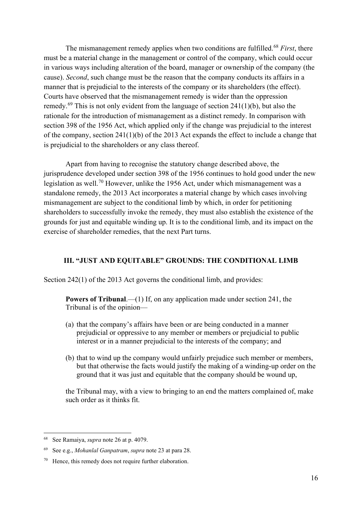The mismanagement remedy applies when two conditions are fulfilled.[68](#page-15-0) *First*, there must be a material change in the management or control of the company, which could occur in various ways including alteration of the board, manager or ownership of the company (the cause). *Second*, such change must be the reason that the company conducts its affairs in a manner that is prejudicial to the interests of the company or its shareholders (the effect). Courts have observed that the mismanagement remedy is wider than the oppression remedy.<sup>[69](#page-15-1)</sup> This is not only evident from the language of section  $241(1)(b)$ , but also the rationale for the introduction of mismanagement as a distinct remedy. In comparison with section 398 of the 1956 Act, which applied only if the change was prejudicial to the interest of the company, section 241(1)(b) of the 2013 Act expands the effect to include a change that is prejudicial to the shareholders or any class thereof.

Apart from having to recognise the statutory change described above, the jurisprudence developed under section 398 of the 1956 continues to hold good under the new legislation as well.[70](#page-15-2) However, unlike the 1956 Act, under which mismanagement was a standalone remedy, the 2013 Act incorporates a material change by which cases involving mismanagement are subject to the conditional limb by which, in order for petitioning shareholders to successfully invoke the remedy, they must also establish the existence of the grounds for just and equitable winding up. It is to the conditional limb, and its impact on the exercise of shareholder remedies, that the next Part turns.

## **III. "JUST AND EQUITABLE" GROUNDS: THE CONDITIONAL LIMB**

Section 242(1) of the 2013 Act governs the conditional limb, and provides:

**Powers of Tribunal.**—(1) If, on any application made under section 241, the Tribunal is of the opinion—

- (a) that the company's affairs have been or are being conducted in a manner prejudicial or oppressive to any member or members or prejudicial to public interest or in a manner prejudicial to the interests of the company; and
- (b) that to wind up the company would unfairly prejudice such member or members, but that otherwise the facts would justify the making of a winding-up order on the ground that it was just and equitable that the company should be wound up,

the Tribunal may, with a view to bringing to an end the matters complained of, make such order as it thinks fit.

<span id="page-15-0"></span><sup>68</sup> See Ramaiya, *supra* not[e 26](#page-7-8) at p. 4079.

<span id="page-15-1"></span><sup>69</sup> See e.g., *Mohanlal Ganpatram*, *supra* note [23](#page-6-11) at para 28.

<span id="page-15-2"></span><sup>70</sup> Hence, this remedy does not require further elaboration.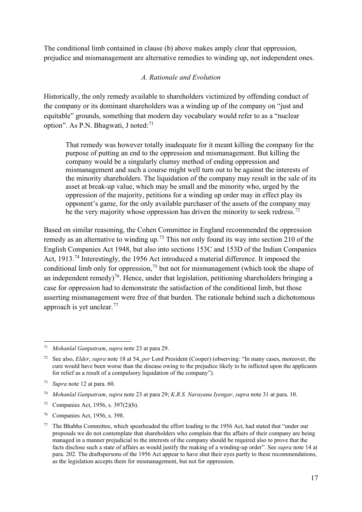The conditional limb contained in clause (b) above makes amply clear that oppression, prejudice and mismanagement are alternative remedies to winding up, not independent ones.

## *A. Rationale and Evolution*

Historically, the only remedy available to shareholders victimized by offending conduct of the company or its dominant shareholders was a winding up of the company on "just and equitable" grounds, something that modern day vocabulary would refer to as a "nuclear option". As P.N. Bhagwati, J noted:<sup>[71](#page-16-0)</sup>

That remedy was however totally inadequate for it meant killing the company for the purpose of putting an end to the oppression and mismanagement. But killing the company would be a singularly clumsy method of ending oppression and mismanagement and such a course might well turn out to be against the interests of the minority shareholders. The liquidation of the company may result in the sale of its asset at break-up value, which may be small and the minority who, urged by the oppression of the majority, petitions for a winding up order may in effect play its opponent's game, for the only available purchaser of the assets of the company may be the very majority whose oppression has driven the minority to seek redress.<sup>[72](#page-16-1)</sup>

Based on similar reasoning, the Cohen Committee in England recommended the oppression remedy as an alternative to winding up.<sup>[73](#page-16-2)</sup> This not only found its way into section 210 of the English Companies Act 1948, but also into sections 153C and 153D of the Indian Companies Act, 1913.<sup>[74](#page-16-3)</sup> Interestingly, the 1956 Act introduced a material difference. It imposed the conditional limb only for oppression,<sup>[75](#page-16-4)</sup> but not for mismanagement (which took the shape of an independent remedy)<sup>76</sup>. Hence, under that legislation, petitioning shareholders bringing a case for oppression had to demonstrate the satisfaction of the conditional limb, but those asserting mismanagement were free of that burden. The rationale behind such a dichotomous approach is yet unclear.<sup>[77](#page-16-6)</sup>

<span id="page-16-0"></span><sup>71</sup> *Mohanlal Ganpatram*, *supra* not[e 23](#page-6-11) at para 29.

<span id="page-16-1"></span><sup>72</sup> See also, *Elder*, *supra* note [18](#page-6-12) at 54, *per* Lord President (Cooper) (observing: "In many cases, moreover, the cure would have been worse than the disease owing to the prejudice likely to be inflicted upon the applicants for relief as a result of a compulsory liquidation of the company").

<span id="page-16-2"></span><sup>73</sup> *Supra* note [12](#page-5-8) at para. 60.

<span id="page-16-3"></span><sup>74</sup> *Mohanlal Ganpatram*, *supra* not[e 23](#page-6-11) at para 29; *K.R.S. Narayana Iyengar*, *supra* note [31](#page-8-5) at para. 10.

<span id="page-16-4"></span><sup>75</sup> Companies Act, 1956, s. 397(2)(b).

<span id="page-16-5"></span><sup>76</sup> Companies Act, 1956, s. 398.

<span id="page-16-6"></span> $77$  The Bhabha Committee, which spearheaded the effort leading to the 1956 Act, had stated that "under our proposals we do not contemplate that shareholders who complain that the affairs of their company are being managed in a manner prejudicial to the interests of the company should be required also to prove that the facts disclose such a state of affairs as would justify the making of a winding-up order". See *supra* note [14](#page-5-7) at para. 202. The draftspersons of the 1956 Act appear to have shut their eyes partly to these recommendations, as the legislation accepts them for mismanagement, but not for oppression.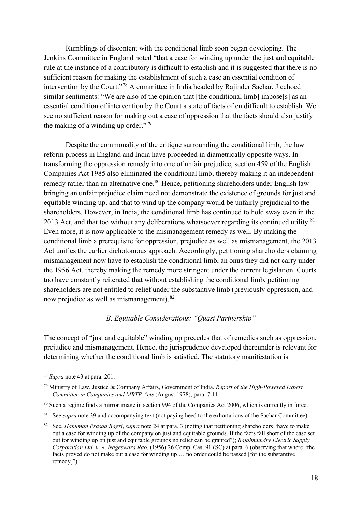Rumblings of discontent with the conditional limb soon began developing. The Jenkins Committee in England noted "that a case for winding up under the just and equitable rule at the instance of a contributory is difficult to establish and it is suggested that there is no sufficient reason for making the establishment of such a case an essential condition of intervention by the Court."[78](#page-17-0) A committee in India headed by Rajinder Sachar, J echoed similar sentiments: "We are also of the opinion that [the conditional limb] impose[s] as an essential condition of intervention by the Court a state of facts often difficult to establish. We see no sufficient reason for making out a case of oppression that the facts should also justify the making of a winding up order."<sup>[79](#page-17-1)</sup>

Despite the commonality of the critique surrounding the conditional limb, the law reform process in England and India have proceeded in diametrically opposite ways. In transforming the oppression remedy into one of unfair prejudice, section 459 of the English Companies Act 1985 also eliminated the conditional limb, thereby making it an independent remedy rather than an alternative one.<sup>[80](#page-17-2)</sup> Hence, petitioning shareholders under English law bringing an unfair prejudice claim need not demonstrate the existence of grounds for just and equitable winding up, and that to wind up the company would be unfairly prejudicial to the shareholders. However, in India, the conditional limb has continued to hold sway even in the 2013 Act, and that too without any deliberations whatsoever regarding its continued utility.<sup>[81](#page-17-3)</sup> Even more, it is now applicable to the mismanagement remedy as well. By making the conditional limb a prerequisite for oppression, prejudice as well as mismanagement, the 2013 Act unifies the earlier dichotomous approach. Accordingly, petitioning shareholders claiming mismanagement now have to establish the conditional limb, an onus they did not carry under the 1956 Act, thereby making the remedy more stringent under the current legislation. Courts too have constantly reiterated that without establishing the conditional limb, petitioning shareholders are not entitled to relief under the substantive limb (previously oppression, and now prejudice as well as mismanagement).<sup>[82](#page-17-4)</sup>

# <span id="page-17-5"></span>*B. Equitable Considerations: "Quasi Partnership"*

The concept of "just and equitable" winding up precedes that of remedies such as oppression, prejudice and mismanagement. Hence, the jurisprudence developed thereunder is relevant for determining whether the conditional limb is satisfied. The statutory manifestation is

<span id="page-17-0"></span><sup>78</sup> *Supra* note [43](#page-10-11) at para. 201.

<span id="page-17-1"></span><sup>79</sup> Ministry of Law, Justice & Company Affairs, Government of India, *Report of the High-Powered Expert Committee in Companies and MRTP Acts* (August 1978), para. 7.11

<span id="page-17-2"></span><sup>&</sup>lt;sup>80</sup> Such a regime finds a mirror image in section 994 of the Companies Act 2006, which is currently in force.

<span id="page-17-3"></span><sup>&</sup>lt;sup>81</sup> See *supra* note [39](#page-10-12) and accompanying text (not paying heed to the exhortations of the Sachar Committee).

<span id="page-17-4"></span><sup>82</sup> See, *Hanuman Prasad Bagri*, *supra* note [24](#page-7-9) at para. 3 (noting that petitioning shareholders "have to make out a case for winding up of the company on just and equitable grounds. If the facts fall short of the case set out for winding up on just and equitable grounds no relief can be granted"); *Rajahmundry Electric Supply Corporation Ltd. v. A. Nageswara Rao*, (1956) 26 Comp. Cas. 91 (SC) at para. 6 (observing that where "the facts proved do not make out a case for winding up … no order could be passed [for the substantive remedy]")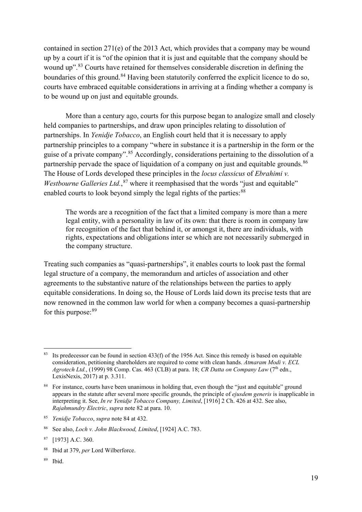<span id="page-18-8"></span><span id="page-18-0"></span>contained in section 271(e) of the 2013 Act, which provides that a company may be wound up by a court if it is "of the opinion that it is just and equitable that the company should be wound up"<sup>.[83](#page-18-1)</sup> Courts have retained for themselves considerable discretion in defining the boundaries of this ground.<sup>[84](#page-18-2)</sup> Having been statutorily conferred the explicit licence to do so, courts have embraced equitable considerations in arriving at a finding whether a company is to be wound up on just and equitable grounds.

More than a century ago, courts for this purpose began to analogize small and closely held companies to partnerships, and draw upon principles relating to dissolution of partnerships. In *Yenidje Tobacco*, an English court held that it is necessary to apply partnership principles to a company "where in substance it is a partnership in the form or the guise of a private company".[85](#page-18-3) Accordingly, considerations pertaining to the dissolution of a partnership pervade the space of liquidation of a company on just and equitable grounds.<sup>[86](#page-18-4)</sup> The House of Lords developed these principles in the *locus classicus* of *Ebrahimi v.*  Westbourne Galleries Ltd., <sup>[87](#page-18-5)</sup> where it reemphasised that the words "just and equitable" enabled courts to look beyond simply the legal rights of the parties:<sup>[88](#page-18-6)</sup>

The words are a recognition of the fact that a limited company is more than a mere legal entity, with a personality in law of its own: that there is room in company law for recognition of the fact that behind it, or amongst it, there are individuals, with rights, expectations and obligations inter se which are not necessarily submerged in the company structure.

Treating such companies as "quasi-partnerships", it enables courts to look past the formal legal structure of a company, the memorandum and articles of association and other agreements to the substantive nature of the relationships between the parties to apply equitable considerations. In doing so, the House of Lords laid down its precise tests that are now renowned in the common law world for when a company becomes a quasi-partnership for this purpose: [89](#page-18-7)

<span id="page-18-7"></span><sup>89</sup> Ibid.

<span id="page-18-1"></span><sup>&</sup>lt;sup>83</sup> Its predecessor can be found in section 433(f) of the 1956 Act. Since this remedy is based on equitable consideration, petitioning shareholders are required to come with clean hands. *Atmaram Modi v. ECL Agrotech Ltd.*, (1999) 98 Comp. Cas. 463 (CLB) at para. 18; *CR Datta on Company Law* (7th edn., LexisNexis, 2017) at p. 3.311.

<span id="page-18-2"></span><sup>&</sup>lt;sup>84</sup> For instance, courts have been unanimous in holding that, even though the "just and equitable" ground appears in the statute after several more specific grounds, the principle of *ejusdem generis* is inapplicable in interpreting it. See, *In re Yenidje Tobacco Company, Limited*, [1916] 2 Ch. 426 at 432. See also, *Rajahmundry Electric*, *supra* note [82](#page-17-5) at para. 10.

<span id="page-18-3"></span><sup>85</sup> *Yenidje Tobacco*, *supra* note [84](#page-18-0) at 432.

<span id="page-18-4"></span><sup>86</sup> See also, *Loch v. John Blackwood, Limited*, [1924] A.C. 783.

<span id="page-18-5"></span><sup>87</sup> [1973] A.C. 360.

<span id="page-18-6"></span><sup>88</sup> Ibid at 379, *per* Lord Wilberforce.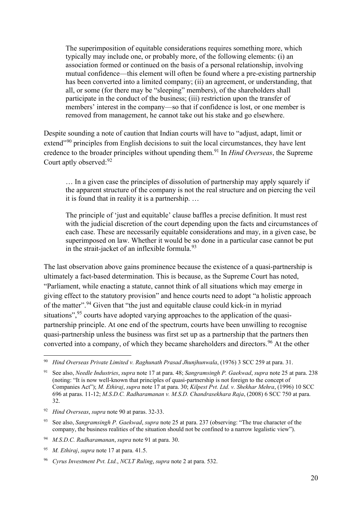The superimposition of equitable considerations requires something more, which typically may include one, or probably more, of the following elements: (i) an association formed or continued on the basis of a personal relationship, involving mutual confidence—this element will often be found where a pre-existing partnership has been converted into a limited company; (ii) an agreement, or understanding, that all, or some (for there may be "sleeping" members), of the shareholders shall participate in the conduct of the business; (iii) restriction upon the transfer of members' interest in the company—so that if confidence is lost, or one member is removed from management, he cannot take out his stake and go elsewhere.

<span id="page-19-0"></span>Despite sounding a note of caution that Indian courts will have to "adjust, adapt, limit or extend"<sup>[90](#page-19-2)</sup> principles from English decisions to suit the local circumstances, they have lent credence to the broader principles without upending them.[91](#page-19-3) In *Hind Overseas*, the Supreme Court aptly observed: [92](#page-19-4)

<span id="page-19-1"></span>… In a given case the principles of dissolution of partnership may apply squarely if the apparent structure of the company is not the real structure and on piercing the veil it is found that in reality it is a partnership. …

The principle of 'just and equitable' clause baffles a precise definition. It must rest with the judicial discretion of the court depending upon the facts and circumstances of each case. These are necessarily equitable considerations and may, in a given case, be superimposed on law. Whether it would be so done in a particular case cannot be put in the strait-jacket of an inflexible formula. $93$ 

The last observation above gains prominence because the existence of a quasi-partnership is ultimately a fact-based determination. This is because, as the Supreme Court has noted, "Parliament, while enacting a statute, cannot think of all situations which may emerge in giving effect to the statutory provision" and hence courts need to adopt "a holistic approach of the matter".[94](#page-19-6) Given that "the just and equitable clause could kick-in in myriad situations",<sup>[95](#page-19-7)</sup> courts have adopted varying approaches to the application of the quasipartnership principle. At one end of the spectrum, courts have been unwilling to recognise quasi-partnership unless the business was first set up as a partnership that the partners then converted into a company, of which they became shareholders and directors. [96](#page-19-8) At the other

<span id="page-19-6"></span><sup>94</sup> *M.S.D.C. Radharamanan*, *supra* note [91](#page-19-1) at para. 30.

<span id="page-19-2"></span><sup>90</sup> *Hind Overseas Private Limited v. Raghunath Prasad Jhunjhunwala*, (1976) 3 SCC 259 at para. 31.

<span id="page-19-3"></span><sup>91</sup> See also, *Needle Industries*, *supra* not[e 17](#page-6-9) at para. 48; *Sangramsingh P. Gaekwad*, *supra* note [25](#page-7-7) at para. 238 (noting: "It is now well-known that principles of quasi-partnership is not foreign to the concept of Companies Act"); *M. Ethiraj*, *supra* note [17](#page-6-9) at para. 30; *Kilpest Pvt. Ltd. v. Shekhar Mehra*, (1996) 10 SCC 696 at paras. 11-12; *M.S.D.C. Radharamanan v. M.S.D. Chandrasekhara Raja*, (2008) 6 SCC 750 at para. 32.

<span id="page-19-4"></span><sup>92</sup> *Hind Overseas*, *supra* note [90](#page-19-0) at paras. 32-33.

<span id="page-19-5"></span><sup>93</sup> See also, *Sangramsingh P. Gaekwad*, *supra* note [25](#page-7-7) at para. 237 (observing: "The true character of the company, the business realities of the situation should not be confined to a narrow legalistic view").

<span id="page-19-7"></span><sup>95</sup> *M. Ethiraj*, *supra* note [17](#page-6-9) at para. 41.5.

<span id="page-19-8"></span><sup>96</sup> *Cyrus Investment Pvt. Ltd.*, *NCLT Ruling*, *supra* note [2](#page-2-5) at para. 532.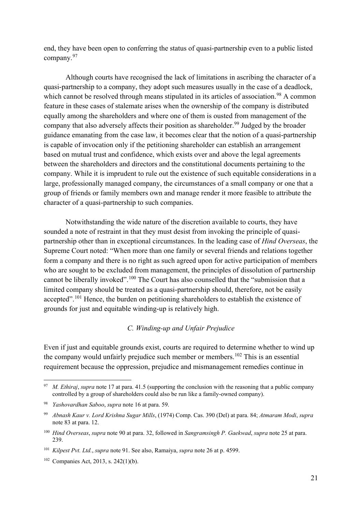end, they have been open to conferring the status of quasi-partnership even to a public listed company.[97](#page-20-0)

Although courts have recognised the lack of limitations in ascribing the character of a quasi-partnership to a company, they adopt such measures usually in the case of a deadlock, which cannot be resolved through means stipulated in its articles of association.<sup>[98](#page-20-1)</sup> A common feature in these cases of stalemate arises when the ownership of the company is distributed equally among the shareholders and where one of them is ousted from management of the company that also adversely affects their position as shareholder.<sup>[99](#page-20-2)</sup> Judged by the broader guidance emanating from the case law, it becomes clear that the notion of a quasi-partnership is capable of invocation only if the petitioning shareholder can establish an arrangement based on mutual trust and confidence, which exists over and above the legal agreements between the shareholders and directors and the constitutional documents pertaining to the company. While it is imprudent to rule out the existence of such equitable considerations in a large, professionally managed company, the circumstances of a small company or one that a group of friends or family members own and manage render it more feasible to attribute the character of a quasi-partnership to such companies.

Notwithstanding the wide nature of the discretion available to courts, they have sounded a note of restraint in that they must desist from invoking the principle of quasipartnership other than in exceptional circumstances. In the leading case of *Hind Overseas*, the Supreme Court noted: "When more than one family or several friends and relations together form a company and there is no right as such agreed upon for active participation of members who are sought to be excluded from management, the principles of dissolution of partnership cannot be liberally invoked".[100](#page-20-3) The Court has also counselled that the "submission that a limited company should be treated as a quasi-partnership should, therefore, not be easily accepted".<sup>[101](#page-20-4)</sup> Hence, the burden on petitioning shareholders to establish the existence of grounds for just and equitable winding-up is relatively high.

#### *C. Winding-up and Unfair Prejudice*

Even if just and equitable grounds exist, courts are required to determine whether to wind up the company would unfairly prejudice such member or members.<sup>[102](#page-20-5)</sup> This is an essential requirement because the oppression, prejudice and mismanagement remedies continue in

<span id="page-20-0"></span><sup>97</sup> *M. Ethiraj*, *supra* note [17](#page-6-9) at para. 41.5 (supporting the conclusion with the reasoning that a public company controlled by a group of shareholders could also be run like a family-owned company).

<span id="page-20-1"></span><sup>98</sup> *Yashovardhan Saboo*, *supra* not[e 16](#page-6-0) at para. 59.

<span id="page-20-2"></span><sup>99</sup> *Abnash Kaur v. Lord Krishna Sugar Mills*, (1974) Comp. Cas. 390 (Del) at para. 84; *Atmaram Modi*, *supra* note [83](#page-18-8) at para. 12.

<span id="page-20-3"></span><sup>100</sup> *Hind Overseas*, *supra* note [90](#page-19-0) at para. 32, followed in *Sangramsingh P. Gaekwad*, *supra* note [25](#page-7-7) at para. 239.

<span id="page-20-4"></span><sup>101</sup> *Kilpest Pvt. Ltd.*, *supra* note [91.](#page-19-1) See also, Ramaiya, *supra* note [26](#page-7-8) at p. 4599.

<span id="page-20-5"></span><sup>102</sup> Companies Act, 2013, s. 242(1)(b).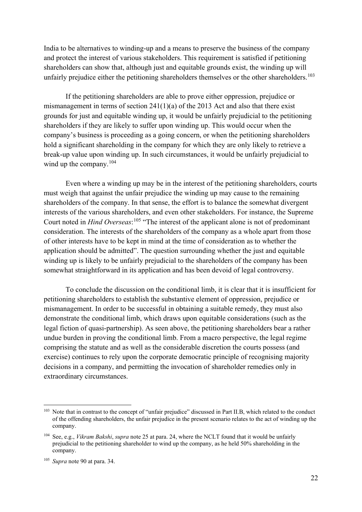India to be alternatives to winding-up and a means to preserve the business of the company and protect the interest of various stakeholders. This requirement is satisfied if petitioning shareholders can show that, although just and equitable grounds exist, the winding up will unfairly prejudice either the petitioning shareholders themselves or the other shareholders.<sup>[103](#page-21-0)</sup>

If the petitioning shareholders are able to prove either oppression, prejudice or mismanagement in terms of section 241(1)(a) of the 2013 Act and also that there exist grounds for just and equitable winding up, it would be unfairly prejudicial to the petitioning shareholders if they are likely to suffer upon winding up. This would occur when the company's business is proceeding as a going concern, or when the petitioning shareholders hold a significant shareholding in the company for which they are only likely to retrieve a break-up value upon winding up. In such circumstances, it would be unfairly prejudicial to wind up the company.<sup>[104](#page-21-1)</sup>

Even where a winding up may be in the interest of the petitioning shareholders, courts must weigh that against the unfair prejudice the winding up may cause to the remaining shareholders of the company. In that sense, the effort is to balance the somewhat divergent interests of the various shareholders, and even other stakeholders. For instance, the Supreme Court noted in *Hind Overseas*: [105](#page-21-2) "The interest of the applicant alone is not of predominant consideration. The interests of the shareholders of the company as a whole apart from those of other interests have to be kept in mind at the time of consideration as to whether the application should be admitted". The question surrounding whether the just and equitable winding up is likely to be unfairly prejudicial to the shareholders of the company has been somewhat straightforward in its application and has been devoid of legal controversy.

To conclude the discussion on the conditional limb, it is clear that it is insufficient for petitioning shareholders to establish the substantive element of oppression, prejudice or mismanagement. In order to be successful in obtaining a suitable remedy, they must also demonstrate the conditional limb, which draws upon equitable considerations (such as the legal fiction of quasi-partnership). As seen above, the petitioning shareholders bear a rather undue burden in proving the conditional limb. From a macro perspective, the legal regime comprising the statute and as well as the considerable discretion the courts possess (and exercise) continues to rely upon the corporate democratic principle of recognising majority decisions in a company, and permitting the invocation of shareholder remedies only in extraordinary circumstances.

<span id="page-21-0"></span><sup>&</sup>lt;sup>103</sup> Note that in contrast to the concept of "unfair prejudice" discussed in Part II.B, which related to the conduct of the offending shareholders, the unfair prejudice in the present scenario relates to the act of winding up the company.

<span id="page-21-1"></span><sup>104</sup> See, e.g., *Vikram Bakshi*, *supra* note [25](#page-7-7) at para. 24, where the NCLT found that it would be unfairly prejudicial to the petitioning shareholder to wind up the company, as he held 50% shareholding in the company.

<span id="page-21-2"></span><sup>105</sup> *Supra* note [90](#page-19-0) at para. 34.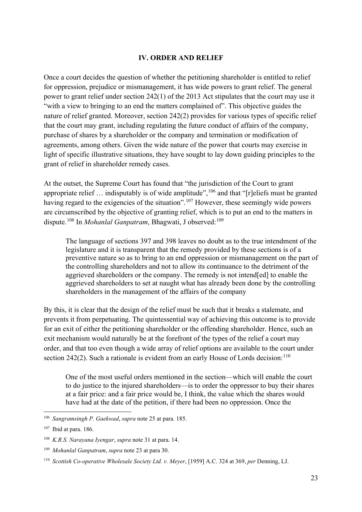# **IV. ORDER AND RELIEF**

Once a court decides the question of whether the petitioning shareholder is entitled to relief for oppression, prejudice or mismanagement, it has wide powers to grant relief. The general power to grant relief under section 242(1) of the 2013 Act stipulates that the court may use it "with a view to bringing to an end the matters complained of". This objective guides the nature of relief granted. Moreover, section 242(2) provides for various types of specific relief that the court may grant, including regulating the future conduct of affairs of the company, purchase of shares by a shareholder or the company and termination or modification of agreements, among others. Given the wide nature of the power that courts may exercise in light of specific illustrative situations, they have sought to lay down guiding principles to the grant of relief in shareholder remedy cases.

At the outset, the Supreme Court has found that "the jurisdiction of the Court to grant appropriate relief  $\ldots$  indisputably is of wide amplitude",  $^{106}$  $^{106}$  $^{106}$  and that "[r]eliefs must be granted having regard to the exigencies of the situation".<sup>[107](#page-22-1)</sup> However, these seemingly wide powers are circumscribed by the objective of granting relief, which is to put an end to the matters in dispute.[108](#page-22-2) In *Mohanlal Ganpatram*, Bhagwati, J observed:[109](#page-22-3)

The language of sections 397 and 398 leaves no doubt as to the true intendment of the legislature and it is transparent that the remedy provided by these sections is of a preventive nature so as to bring to an end oppression or mismanagement on the part of the controlling shareholders and not to allow its continuance to the detriment of the aggrieved shareholders or the company. The remedy is not intend[ed] to enable the aggrieved shareholders to set at naught what has already been done by the controlling shareholders in the management of the affairs of the company

By this, it is clear that the design of the relief must be such that it breaks a stalemate, and prevents it from perpetuating. The quintessential way of achieving this outcome is to provide for an exit of either the petitioning shareholder or the offending shareholder. Hence, such an exit mechanism would naturally be at the forefront of the types of the relief a court may order, and that too even though a wide array of relief options are available to the court under section 242(2). Such a rationale is evident from an early House of Lords decision:  $110$ 

One of the most useful orders mentioned in the section—which will enable the court to do justice to the injured shareholders—is to order the oppressor to buy their shares at a fair price: and a fair price would be, I think, the value which the shares would have had at the date of the petition, if there had been no oppression. Once the

<span id="page-22-0"></span><sup>106</sup> *Sangramsingh P. Gaekwad*, *supra* note [25](#page-7-7) at para. 185.

<span id="page-22-1"></span><sup>107</sup> Ibid at para. 186.

<span id="page-22-2"></span><sup>108</sup> *K.R.S. Narayana Iyengar*, *supra* not[e 31](#page-8-5) at para. 14.

<span id="page-22-3"></span><sup>109</sup> *Mohanlal Ganpatram*, *supra* not[e 23](#page-6-11) at para 30.

<span id="page-22-4"></span><sup>110</sup> *Scottish Co-operative Wholesale Society Ltd. v. Meyer*, [1959] A.C. 324 at 369, *per* Denning, LJ.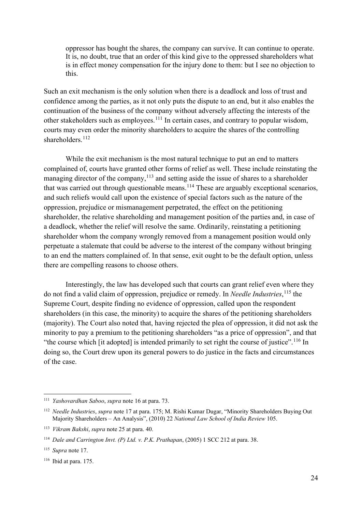oppressor has bought the shares, the company can survive. It can continue to operate. It is, no doubt, true that an order of this kind give to the oppressed shareholders what is in effect money compensation for the injury done to them: but I see no objection to this.

Such an exit mechanism is the only solution when there is a deadlock and loss of trust and confidence among the parties, as it not only puts the dispute to an end, but it also enables the continuation of the business of the company without adversely affecting the interests of the other stakeholders such as employees.[111](#page-23-0) In certain cases, and contrary to popular wisdom, courts may even order the minority shareholders to acquire the shares of the controlling shareholders.<sup>[112](#page-23-1)</sup>

While the exit mechanism is the most natural technique to put an end to matters complained of, courts have granted other forms of relief as well. These include reinstating the managing director of the company,<sup> $113$ </sup> and setting aside the issue of shares to a shareholder that was carried out through questionable means.[114](#page-23-3) These are arguably exceptional scenarios, and such reliefs would call upon the existence of special factors such as the nature of the oppression, prejudice or mismanagement perpetrated, the effect on the petitioning shareholder, the relative shareholding and management position of the parties and, in case of a deadlock, whether the relief will resolve the same. Ordinarily, reinstating a petitioning shareholder whom the company wrongly removed from a management position would only perpetuate a stalemate that could be adverse to the interest of the company without bringing to an end the matters complained of. In that sense, exit ought to be the default option, unless there are compelling reasons to choose others.

Interestingly, the law has developed such that courts can grant relief even where they do not find a valid claim of oppression, prejudice or remedy. In *Needle Industries*, [115](#page-23-4) the Supreme Court, despite finding no evidence of oppression, called upon the respondent shareholders (in this case, the minority) to acquire the shares of the petitioning shareholders (majority). The Court also noted that, having rejected the plea of oppression, it did not ask the minority to pay a premium to the petitioning shareholders "as a price of oppression", and that "the course which [it adopted] is intended primarily to set right the course of justice".<sup>[116](#page-23-5)</sup> In doing so, the Court drew upon its general powers to do justice in the facts and circumstances of the case.

<span id="page-23-0"></span><sup>111</sup> *Yashovardhan Saboo*, *supra* not[e 16](#page-6-0) at para. 73.

<span id="page-23-1"></span><sup>112</sup> *Needle Industries*, *supra* not[e 17](#page-6-9) at para. 175; M. Rishi Kumar Dugar, "Minority Shareholders Buying Out Majority Shareholders – An Analysis", (2010) 22 *National Law School of India Review* 105.

<span id="page-23-2"></span><sup>113</sup> *Vikram Bakshi*, *supra* note [25](#page-7-7) at para. 40.

<span id="page-23-3"></span><sup>114</sup> *Dale and Carrington Invt. (P) Ltd. v. P.K. Prathapan*, (2005) 1 SCC 212 at para. 38.

<span id="page-23-4"></span><sup>115</sup> *Supra* note [17.](#page-6-9)

<span id="page-23-5"></span><sup>116</sup> Ibid at para. 175.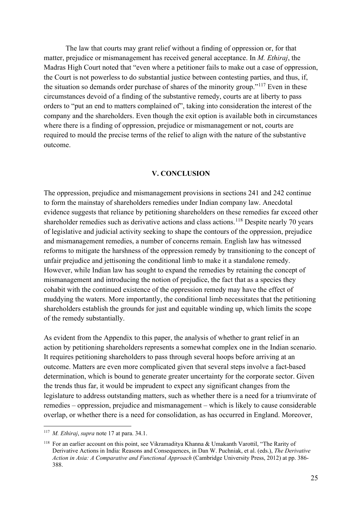The law that courts may grant relief without a finding of oppression or, for that matter, prejudice or mismanagement has received general acceptance. In *M. Ethiraj*, the Madras High Court noted that "even where a petitioner fails to make out a case of oppression, the Court is not powerless to do substantial justice between contesting parties, and thus, if, the situation so demands order purchase of shares of the minority group."[117](#page-24-0) Even in these circumstances devoid of a finding of the substantive remedy, courts are at liberty to pass orders to "put an end to matters complained of", taking into consideration the interest of the company and the shareholders. Even though the exit option is available both in circumstances where there is a finding of oppression, prejudice or mismanagement or not, courts are required to mould the precise terms of the relief to align with the nature of the substantive outcome.

#### **V. CONCLUSION**

The oppression, prejudice and mismanagement provisions in sections 241 and 242 continue to form the mainstay of shareholders remedies under Indian company law. Anecdotal evidence suggests that reliance by petitioning shareholders on these remedies far exceed other shareholder remedies such as derivative actions and class actions.<sup>[118](#page-24-1)</sup> Despite nearly 70 years of legislative and judicial activity seeking to shape the contours of the oppression, prejudice and mismanagement remedies, a number of concerns remain. English law has witnessed reforms to mitigate the harshness of the oppression remedy by transitioning to the concept of unfair prejudice and jettisoning the conditional limb to make it a standalone remedy. However, while Indian law has sought to expand the remedies by retaining the concept of mismanagement and introducing the notion of prejudice, the fact that as a species they cohabit with the continued existence of the oppression remedy may have the effect of muddying the waters. More importantly, the conditional limb necessitates that the petitioning shareholders establish the grounds for just and equitable winding up, which limits the scope of the remedy substantially.

As evident from the Appendix to this paper, the analysis of whether to grant relief in an action by petitioning shareholders represents a somewhat complex one in the Indian scenario. It requires petitioning shareholders to pass through several hoops before arriving at an outcome. Matters are even more complicated given that several steps involve a fact-based determination, which is bound to generate greater uncertainty for the corporate sector. Given the trends thus far, it would be imprudent to expect any significant changes from the legislature to address outstanding matters, such as whether there is a need for a triumvirate of remedies – oppression, prejudice and mismanagement – which is likely to cause considerable overlap, or whether there is a need for consolidation, as has occurred in England. Moreover,

<span id="page-24-0"></span><sup>117</sup> *M. Ethiraj*, *supra* note [17](#page-6-9) at para. 34.1.

<span id="page-24-1"></span><sup>118</sup> For an earlier account on this point, see Vikramaditya Khanna & Umakanth Varottil, "The Rarity of Derivative Actions in India: Reasons and Consequences, in Dan W. Puchniak, et al. (eds.), *The Derivative Action in Asia: A Comparative and Functional Approach* (Cambridge University Press, 2012) at pp. 386- 388.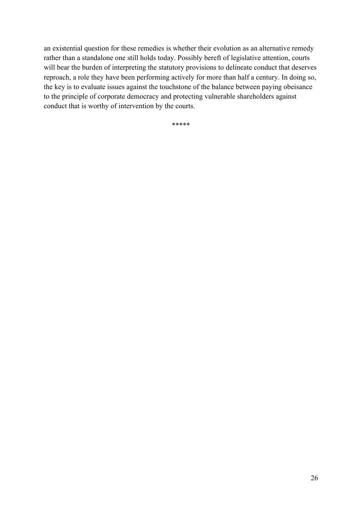an existential question for these remedies is whether their evolution as an alternative remedy rather than a standalone one still holds today. Possibly bereft of legislative attention, courts will bear the burden of interpreting the statutory provisions to delineate conduct that deserves reproach, a role they have been performing actively for more than half a century. In doing so, the key is to evaluate issues against the touchstone of the balance between paying obeisance to the principle of corporate democracy and protecting vulnerable shareholders against conduct that is worthy of intervention by the courts.

\*\*\*\*\*